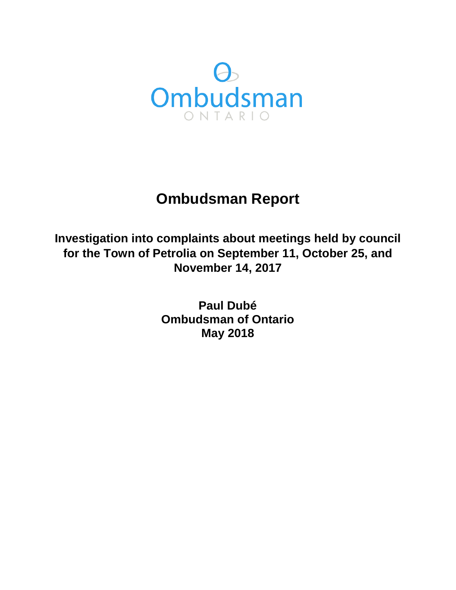

# **Ombudsman Report**

**Investigation into complaints about meetings held by council for the Town of Petrolia on September 11, October 25, and November 14, 2017** 

> **Paul Dubé Ombudsman of Ontario May 2018**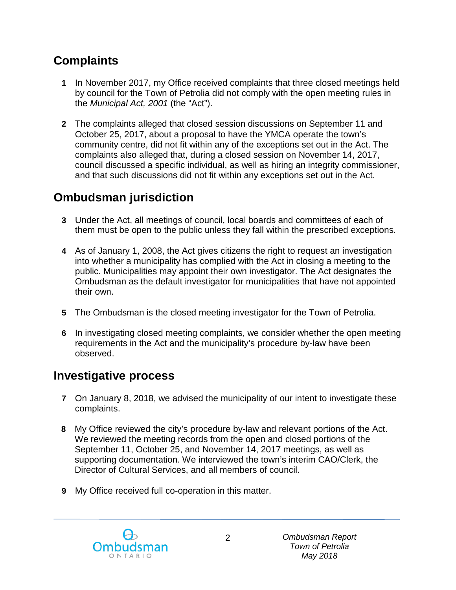# **Complaints**

- **1** In November 2017, my Office received complaints that three closed meetings held by council for the Town of Petrolia did not comply with the open meeting rules in the *Municipal Act, 2001* (the "Act").
- **2** The complaints alleged that closed session discussions on September 11 and October 25, 2017, about a proposal to have the YMCA operate the town's community centre, did not fit within any of the exceptions set out in the Act. The complaints also alleged that, during a closed session on November 14, 2017, council discussed a specific individual, as well as hiring an integrity commissioner, and that such discussions did not fit within any exceptions set out in the Act.

# **Ombudsman jurisdiction**

- **3** Under the Act, all meetings of council, local boards and committees of each of them must be open to the public unless they fall within the prescribed exceptions.
- **4** As of January 1, 2008, the Act gives citizens the right to request an investigation into whether a municipality has complied with the Act in closing a meeting to the public. Municipalities may appoint their own investigator. The Act designates the Ombudsman as the default investigator for municipalities that have not appointed their own.
- **5** The Ombudsman is the closed meeting investigator for the Town of Petrolia.
- **6** In investigating closed meeting complaints, we consider whether the open meeting requirements in the Act and the municipality's procedure by-law have been observed.

# **Investigative process**

- **7** On January 8, 2018, we advised the municipality of our intent to investigate these complaints.
- **8** My Office reviewed the city's procedure by-law and relevant portions of the Act. We reviewed the meeting records from the open and closed portions of the September 11, October 25, and November 14, 2017 meetings, as well as supporting documentation. We interviewed the town's interim CAO/Clerk, the Director of Cultural Services, and all members of council.
- **9** My Office received full co-operation in this matter.

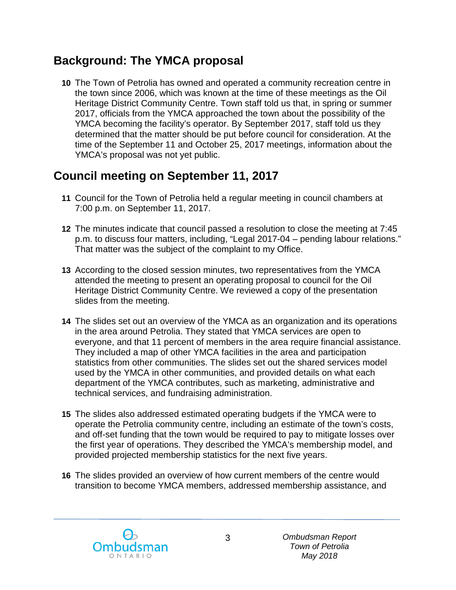# **Background: The YMCA proposal**

**10** The Town of Petrolia has owned and operated a community recreation centre in the town since 2006, which was known at the time of these meetings as the Oil Heritage District Community Centre. Town staff told us that, in spring or summer 2017, officials from the YMCA approached the town about the possibility of the YMCA becoming the facility's operator. By September 2017, staff told us they determined that the matter should be put before council for consideration. At the time of the September 11 and October 25, 2017 meetings, information about the YMCA's proposal was not yet public.

# **Council meeting on September 11, 2017**

- **11** Council for the Town of Petrolia held a regular meeting in council chambers at 7:00 p.m. on September 11, 2017.
- **12** The minutes indicate that council passed a resolution to close the meeting at 7:45 p.m. to discuss four matters, including, "Legal 2017-04 – pending labour relations." That matter was the subject of the complaint to my Office.
- **13** According to the closed session minutes, two representatives from the YMCA attended the meeting to present an operating proposal to council for the Oil Heritage District Community Centre. We reviewed a copy of the presentation slides from the meeting.
- **14** The slides set out an overview of the YMCA as an organization and its operations in the area around Petrolia. They stated that YMCA services are open to everyone, and that 11 percent of members in the area require financial assistance. They included a map of other YMCA facilities in the area and participation statistics from other communities. The slides set out the shared services model used by the YMCA in other communities, and provided details on what each department of the YMCA contributes, such as marketing, administrative and technical services, and fundraising administration.
- **15** The slides also addressed estimated operating budgets if the YMCA were to operate the Petrolia community centre, including an estimate of the town's costs, and off-set funding that the town would be required to pay to mitigate losses over the first year of operations. They described the YMCA's membership model, and provided projected membership statistics for the next five years.
- **16** The slides provided an overview of how current members of the centre would transition to become YMCA members, addressed membership assistance, and

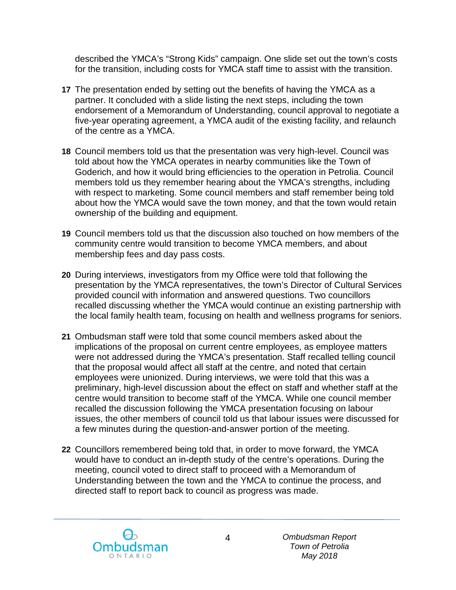described the YMCA's "Strong Kids" campaign. One slide set out the town's costs for the transition, including costs for YMCA staff time to assist with the transition.

- **17** The presentation ended by setting out the benefits of having the YMCA as a partner. It concluded with a slide listing the next steps, including the town endorsement of a Memorandum of Understanding, council approval to negotiate a five-year operating agreement, a YMCA audit of the existing facility, and relaunch of the centre as a YMCA.
- **18** Council members told us that the presentation was very high-level. Council was told about how the YMCA operates in nearby communities like the Town of Goderich, and how it would bring efficiencies to the operation in Petrolia. Council members told us they remember hearing about the YMCA's strengths, including with respect to marketing. Some council members and staff remember being told about how the YMCA would save the town money, and that the town would retain ownership of the building and equipment.
- **19** Council members told us that the discussion also touched on how members of the community centre would transition to become YMCA members, and about membership fees and day pass costs.
- **20** During interviews, investigators from my Office were told that following the presentation by the YMCA representatives, the town's Director of Cultural Services provided council with information and answered questions. Two councillors recalled discussing whether the YMCA would continue an existing partnership with the local family health team, focusing on health and wellness programs for seniors.
- **21** Ombudsman staff were told that some council members asked about the implications of the proposal on current centre employees, as employee matters were not addressed during the YMCA's presentation. Staff recalled telling council that the proposal would affect all staff at the centre, and noted that certain employees were unionized. During interviews, we were told that this was a preliminary, high-level discussion about the effect on staff and whether staff at the centre would transition to become staff of the YMCA. While one council member recalled the discussion following the YMCA presentation focusing on labour issues, the other members of council told us that labour issues were discussed for a few minutes during the question-and-answer portion of the meeting.
- **22** Councillors remembered being told that, in order to move forward, the YMCA would have to conduct an in-depth study of the centre's operations. During the meeting, council voted to direct staff to proceed with a Memorandum of Understanding between the town and the YMCA to continue the process, and directed staff to report back to council as progress was made.

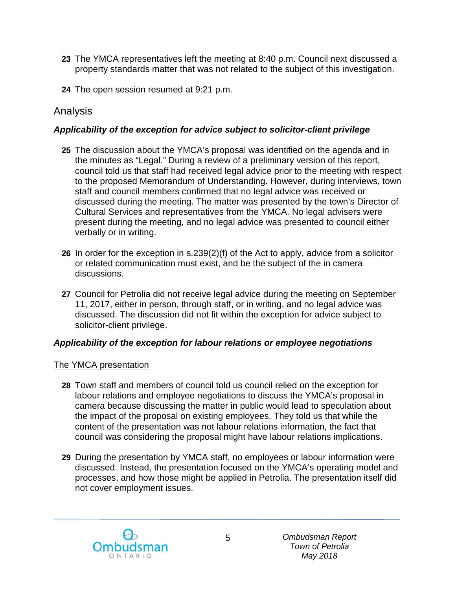- **23** The YMCA representatives left the meeting at 8:40 p.m. Council next discussed a property standards matter that was not related to the subject of this investigation.
- **24** The open session resumed at 9:21 p.m.

### Analysis

#### *Applicability of the exception for advice subject to solicitor-client privilege*

- **25** The discussion about the YMCA's proposal was identified on the agenda and in the minutes as "Legal." During a review of a preliminary version of this report, council told us that staff had received legal advice prior to the meeting with respect to the proposed Memorandum of Understanding. However, during interviews, town staff and council members confirmed that no legal advice was received or discussed during the meeting. The matter was presented by the town's Director of Cultural Services and representatives from the YMCA. No legal advisers were present during the meeting, and no legal advice was presented to council either verbally or in writing.
- **26** In order for the exception in s.239(2)(f) of the Act to apply, advice from a solicitor or related communication must exist, and be the subject of the in camera discussions.
- **27** Council for Petrolia did not receive legal advice during the meeting on September 11, 2017, either in person, through staff, or in writing, and no legal advice was discussed. The discussion did not fit within the exception for advice subject to solicitor-client privilege.

#### *Applicability of the exception for labour relations or employee negotiations*

#### The YMCA presentation

- **28** Town staff and members of council told us council relied on the exception for labour relations and employee negotiations to discuss the YMCA's proposal in camera because discussing the matter in public would lead to speculation about the impact of the proposal on existing employees. They told us that while the content of the presentation was not labour relations information, the fact that council was considering the proposal might have labour relations implications.
- **29** During the presentation by YMCA staff, no employees or labour information were discussed. Instead, the presentation focused on the YMCA's operating model and processes, and how those might be applied in Petrolia. The presentation itself did not cover employment issues.

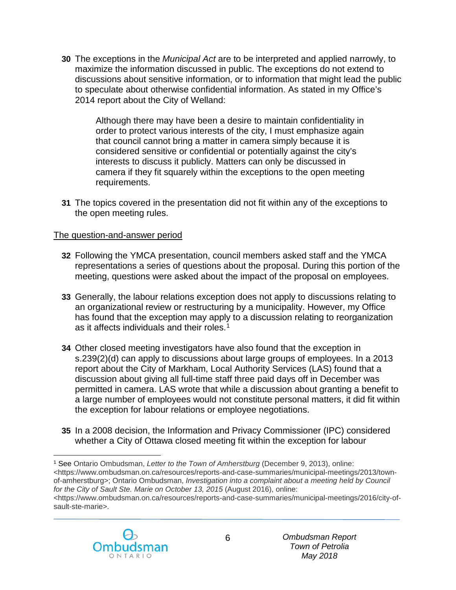**30** The exceptions in the *Municipal Act* are to be interpreted and applied narrowly, to maximize the information discussed in public. The exceptions do not extend to discussions about sensitive information, or to information that might lead the public to speculate about otherwise confidential information. As stated in my Office's 2014 report about the City of Welland:

Although there may have been a desire to maintain confidentiality in order to protect various interests of the city, I must emphasize again that council cannot bring a matter in camera simply because it is considered sensitive or confidential or potentially against the city's interests to discuss it publicly. Matters can only be discussed in camera if they fit squarely within the exceptions to the open meeting requirements.

**31** The topics covered in the presentation did not fit within any of the exceptions to the open meeting rules.

#### The question-and-answer period

- **32** Following the YMCA presentation, council members asked staff and the YMCA representations a series of questions about the proposal. During this portion of the meeting, questions were asked about the impact of the proposal on employees.
- **33** Generally, the labour relations exception does not apply to discussions relating to an organizational review or restructuring by a municipality. However, my Office has found that the exception may apply to a discussion relating to reorganization as it affects individuals and their roles.<sup>1</sup>
- **34** Other closed meeting investigators have also found that the exception in s.239(2)(d) can apply to discussions about large groups of employees. In a 2013 report about the City of Markham, Local Authority Services (LAS) found that a discussion about giving all full-time staff three paid days off in December was permitted in camera. LAS wrote that while a discussion about granting a benefit to a large number of employees would not constitute personal matters, it did fit within the exception for labour relations or employee negotiations.
- **35** In a 2008 decision, the Information and Privacy Commissioner (IPC) considered whether a City of Ottawa closed meeting fit within the exception for labour

<span id="page-5-0"></span> $\overline{a}$ <sup>1</sup> See Ontario Ombudsman, *Letter to the Town of Amherstburg* (December 9, 2013), online: <https://www.ombudsman.on.ca/resources/reports-and-case-summaries/municipal-meetings/2013/townof-amherstburg>; Ontario Ombudsman, *Investigation into a complaint about a meeting held by Council for the City of Sault Ste. Marie on October 13, 2015* (August 2016), online: <https://www.ombudsman.on.ca/resources/reports-and-case-summaries/municipal-meetings/2016/city-ofsault-ste-marie>.

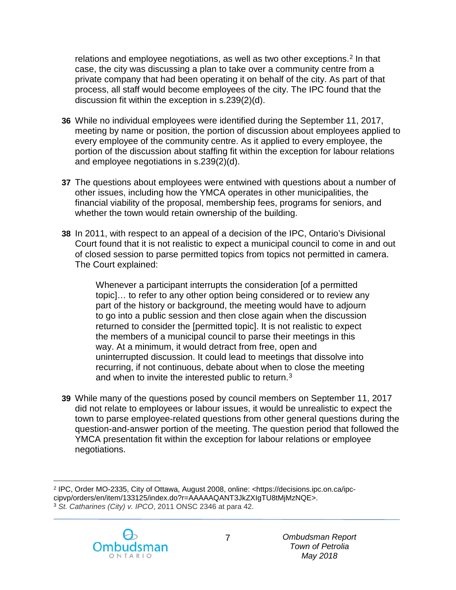relations and employee negotiations, as well as two other exceptions.<sup>[2](#page-6-0)</sup> In that case, the city was discussing a plan to take over a community centre from a private company that had been operating it on behalf of the city. As part of that process, all staff would become employees of the city. The IPC found that the discussion fit within the exception in s.239(2)(d).

- **36** While no individual employees were identified during the September 11, 2017, meeting by name or position, the portion of discussion about employees applied to every employee of the community centre. As it applied to every employee, the portion of the discussion about staffing fit within the exception for labour relations and employee negotiations in s.239(2)(d).
- **37** The questions about employees were entwined with questions about a number of other issues, including how the YMCA operates in other municipalities, the financial viability of the proposal, membership fees, programs for seniors, and whether the town would retain ownership of the building.
- **38** In 2011, with respect to an appeal of a decision of the IPC, Ontario's Divisional Court found that it is not realistic to expect a municipal council to come in and out of closed session to parse permitted topics from topics not permitted in camera. The Court explained:

Whenever a participant interrupts the consideration [of a permitted topic]… to refer to any other option being considered or to review any part of the history or background, the meeting would have to adjourn to go into a public session and then close again when the discussion returned to consider the [permitted topic]. It is not realistic to expect the members of a municipal council to parse their meetings in this way. At a minimum, it would detract from free, open and uninterrupted discussion. It could lead to meetings that dissolve into recurring, if not continuous, debate about when to close the meeting and when to invite the interested public to return.<sup>[3](#page-6-1)</sup>

**39** While many of the questions posed by council members on September 11, 2017 did not relate to employees or labour issues, it would be unrealistic to expect the town to parse employee-related questions from other general questions during the question-and-answer portion of the meeting. The question period that followed the YMCA presentation fit within the exception for labour relations or employee negotiations.

<span id="page-6-1"></span><span id="page-6-0"></span> $\overline{a}$ <sup>2</sup> IPC, Order MO-2335, City of Ottawa, August 2008, online: <https://decisions.ipc.on.ca/ipccipvp/orders/en/item/133125/index.do?r=AAAAAQANT3JkZXIgTU8tMjMzNQE>. <sup>3</sup> *St. Catharines (City) v. IPCO*, 2011 ONSC 2346 at para 42.

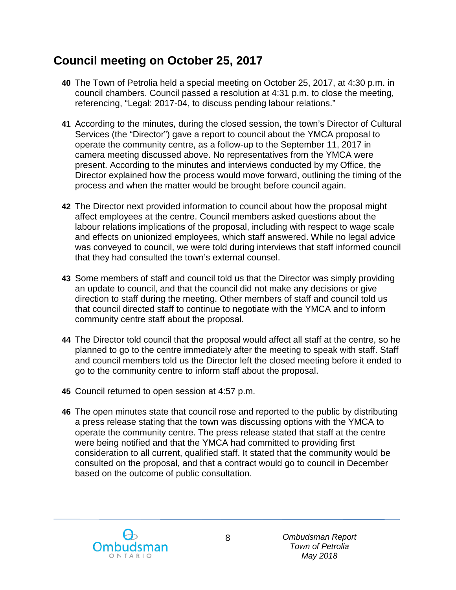# **Council meeting on October 25, 2017**

- **40** The Town of Petrolia held a special meeting on October 25, 2017, at 4:30 p.m. in council chambers. Council passed a resolution at 4:31 p.m. to close the meeting, referencing, "Legal: 2017-04, to discuss pending labour relations."
- **41** According to the minutes, during the closed session, the town's Director of Cultural Services (the "Director") gave a report to council about the YMCA proposal to operate the community centre, as a follow-up to the September 11, 2017 in camera meeting discussed above. No representatives from the YMCA were present. According to the minutes and interviews conducted by my Office, the Director explained how the process would move forward, outlining the timing of the process and when the matter would be brought before council again.
- **42** The Director next provided information to council about how the proposal might affect employees at the centre. Council members asked questions about the labour relations implications of the proposal, including with respect to wage scale and effects on unionized employees, which staff answered. While no legal advice was conveyed to council, we were told during interviews that staff informed council that they had consulted the town's external counsel.
- **43** Some members of staff and council told us that the Director was simply providing an update to council, and that the council did not make any decisions or give direction to staff during the meeting. Other members of staff and council told us that council directed staff to continue to negotiate with the YMCA and to inform community centre staff about the proposal.
- **44** The Director told council that the proposal would affect all staff at the centre, so he planned to go to the centre immediately after the meeting to speak with staff. Staff and council members told us the Director left the closed meeting before it ended to go to the community centre to inform staff about the proposal.
- **45** Council returned to open session at 4:57 p.m.
- **46** The open minutes state that council rose and reported to the public by distributing a press release stating that the town was discussing options with the YMCA to operate the community centre. The press release stated that staff at the centre were being notified and that the YMCA had committed to providing first consideration to all current, qualified staff. It stated that the community would be consulted on the proposal, and that a contract would go to council in December based on the outcome of public consultation.

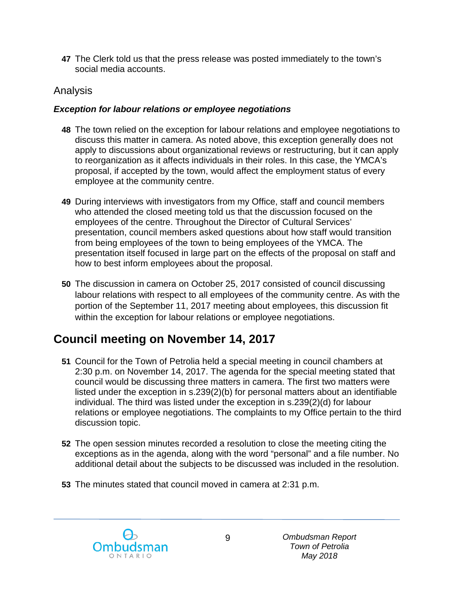**47** The Clerk told us that the press release was posted immediately to the town's social media accounts.

### Analysis

#### *Exception for labour relations or employee negotiations*

- **48** The town relied on the exception for labour relations and employee negotiations to discuss this matter in camera. As noted above, this exception generally does not apply to discussions about organizational reviews or restructuring, but it can apply to reorganization as it affects individuals in their roles. In this case, the YMCA's proposal, if accepted by the town, would affect the employment status of every employee at the community centre.
- **49** During interviews with investigators from my Office, staff and council members who attended the closed meeting told us that the discussion focused on the employees of the centre. Throughout the Director of Cultural Services' presentation, council members asked questions about how staff would transition from being employees of the town to being employees of the YMCA. The presentation itself focused in large part on the effects of the proposal on staff and how to best inform employees about the proposal.
- **50** The discussion in camera on October 25, 2017 consisted of council discussing labour relations with respect to all employees of the community centre. As with the portion of the September 11, 2017 meeting about employees, this discussion fit within the exception for labour relations or employee negotiations.

# **Council meeting on November 14, 2017**

- **51** Council for the Town of Petrolia held a special meeting in council chambers at 2:30 p.m. on November 14, 2017. The agenda for the special meeting stated that council would be discussing three matters in camera. The first two matters were listed under the exception in s.239(2)(b) for personal matters about an identifiable individual. The third was listed under the exception in s.239(2)(d) for labour relations or employee negotiations. The complaints to my Office pertain to the third discussion topic.
- **52** The open session minutes recorded a resolution to close the meeting citing the exceptions as in the agenda, along with the word "personal" and a file number. No additional detail about the subjects to be discussed was included in the resolution.
- **53** The minutes stated that council moved in camera at 2:31 p.m.

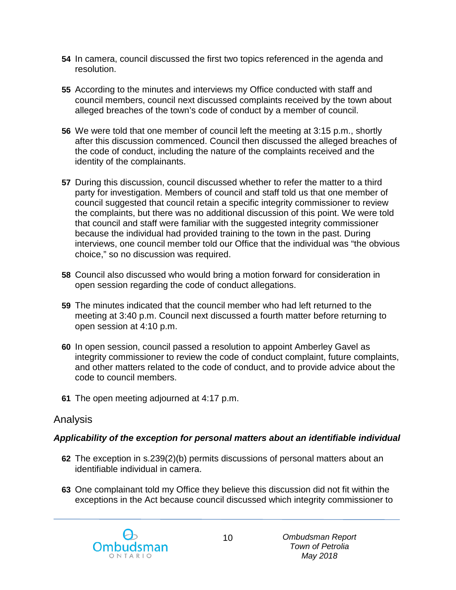- **54** In camera, council discussed the first two topics referenced in the agenda and resolution.
- **55** According to the minutes and interviews my Office conducted with staff and council members, council next discussed complaints received by the town about alleged breaches of the town's code of conduct by a member of council.
- **56** We were told that one member of council left the meeting at 3:15 p.m., shortly after this discussion commenced. Council then discussed the alleged breaches of the code of conduct, including the nature of the complaints received and the identity of the complainants.
- **57** During this discussion, council discussed whether to refer the matter to a third party for investigation. Members of council and staff told us that one member of council suggested that council retain a specific integrity commissioner to review the complaints, but there was no additional discussion of this point. We were told that council and staff were familiar with the suggested integrity commissioner because the individual had provided training to the town in the past. During interviews, one council member told our Office that the individual was "the obvious choice," so no discussion was required.
- **58** Council also discussed who would bring a motion forward for consideration in open session regarding the code of conduct allegations.
- **59** The minutes indicated that the council member who had left returned to the meeting at 3:40 p.m. Council next discussed a fourth matter before returning to open session at 4:10 p.m.
- **60** In open session, council passed a resolution to appoint Amberley Gavel as integrity commissioner to review the code of conduct complaint, future complaints, and other matters related to the code of conduct, and to provide advice about the code to council members.
- **61** The open meeting adjourned at 4:17 p.m.

### Analysis

#### *Applicability of the exception for personal matters about an identifiable individual*

- **62** The exception in s.239(2)(b) permits discussions of personal matters about an identifiable individual in camera.
- **63** One complainant told my Office they believe this discussion did not fit within the exceptions in the Act because council discussed which integrity commissioner to

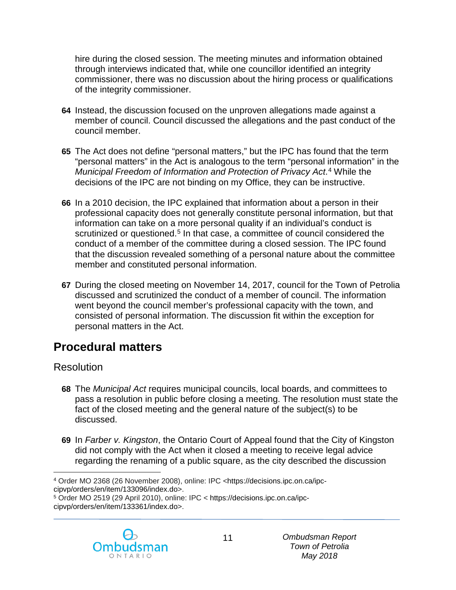hire during the closed session. The meeting minutes and information obtained through interviews indicated that, while one councillor identified an integrity commissioner, there was no discussion about the hiring process or qualifications of the integrity commissioner.

- **64** Instead, the discussion focused on the unproven allegations made against a member of council. Council discussed the allegations and the past conduct of the council member.
- **65** The Act does not define "personal matters," but the IPC has found that the term "personal matters" in the Act is analogous to the term "personal information" in the *Municipal Freedom of Information and Protection of Privacy Act*. [4](#page-10-0) While the decisions of the IPC are not binding on my Office, they can be instructive.
- **66** In a 2010 decision, the IPC explained that information about a person in their professional capacity does not generally constitute personal information, but that information can take on a more personal quality if an individual's conduct is scrutinized or questioned.<sup>[5](#page-10-1)</sup> In that case, a committee of council considered the conduct of a member of the committee during a closed session. The IPC found that the discussion revealed something of a personal nature about the committee member and constituted personal information.
- **67** During the closed meeting on November 14, 2017, council for the Town of Petrolia discussed and scrutinized the conduct of a member of council. The information went beyond the council member's professional capacity with the town, and consisted of personal information. The discussion fit within the exception for personal matters in the Act.

# **Procedural matters**

### Resolution

- **68** The *Municipal Act* requires municipal councils, local boards, and committees to pass a resolution in public before closing a meeting. The resolution must state the fact of the closed meeting and the general nature of the subject(s) to be discussed.
- **69** In *Farber v. Kingston*, the Ontario Court of Appeal found that the City of Kingston did not comply with the Act when it closed a meeting to receive legal advice regarding the renaming of a public square, as the city described the discussion

<span id="page-10-1"></span><sup>5</sup> Order MO 2519 (29 April 2010), online: IPC < https://decisions.ipc.on.ca/ipccipvp/orders/en/item/133361/index.do>.



<span id="page-10-0"></span> $\overline{a}$ <sup>4</sup> Order MO 2368 (26 November 2008), online: IPC <https://decisions.ipc.on.ca/ipccipvp/orders/en/item/133096/index.do>.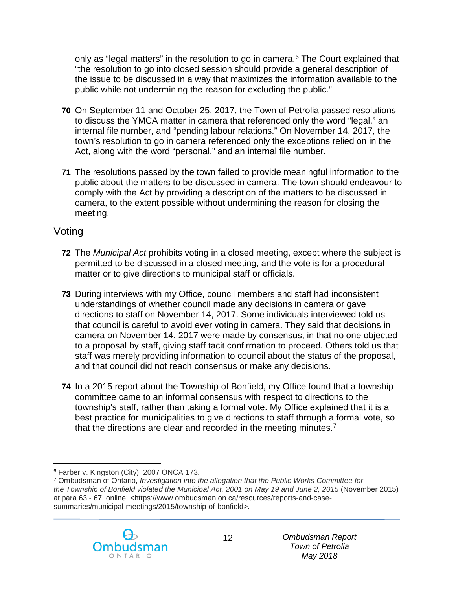only as "legal matters" in the resolution to go in camera.<sup>[6](#page-11-0)</sup> The Court explained that "the resolution to go into closed session should provide a general description of the issue to be discussed in a way that maximizes the information available to the public while not undermining the reason for excluding the public."

- **70** On September 11 and October 25, 2017, the Town of Petrolia passed resolutions to discuss the YMCA matter in camera that referenced only the word "legal," an internal file number, and "pending labour relations." On November 14, 2017, the town's resolution to go in camera referenced only the exceptions relied on in the Act, along with the word "personal," and an internal file number.
- **71** The resolutions passed by the town failed to provide meaningful information to the public about the matters to be discussed in camera. The town should endeavour to comply with the Act by providing a description of the matters to be discussed in camera, to the extent possible without undermining the reason for closing the meeting.

### Voting

- **72** The *Municipal Act* prohibits voting in a closed meeting, except where the subject is permitted to be discussed in a closed meeting, and the vote is for a procedural matter or to give directions to municipal staff or officials.
- **73** During interviews with my Office, council members and staff had inconsistent understandings of whether council made any decisions in camera or gave directions to staff on November 14, 2017. Some individuals interviewed told us that council is careful to avoid ever voting in camera. They said that decisions in camera on November 14, 2017 were made by consensus, in that no one objected to a proposal by staff, giving staff tacit confirmation to proceed. Others told us that staff was merely providing information to council about the status of the proposal, and that council did not reach consensus or make any decisions.
- **74** In a 2015 report about the Township of Bonfield, my Office found that a township committee came to an informal consensus with respect to directions to the township's staff, rather than taking a formal vote. My Office explained that it is a best practice for municipalities to give directions to staff through a formal vote, so that the directions are clear and recorded in the meeting minutes.[7](#page-11-1)

<span id="page-11-1"></span><span id="page-11-0"></span><sup>7</sup> Ombudsman of Ontario, *Investigation into the allegation that the Public Works Committee for the Township of Bonfield violated the Municipal Act, 2001 on May 19 and June 2, 2015* (November 2015) at para 63 - 67, online: <https://www.ombudsman.on.ca/resources/reports-and-casesummaries/municipal-meetings/2015/township-of-bonfield>.



 $\overline{a}$ <sup>6</sup> Farber v. Kingston (City), 2007 ONCA 173.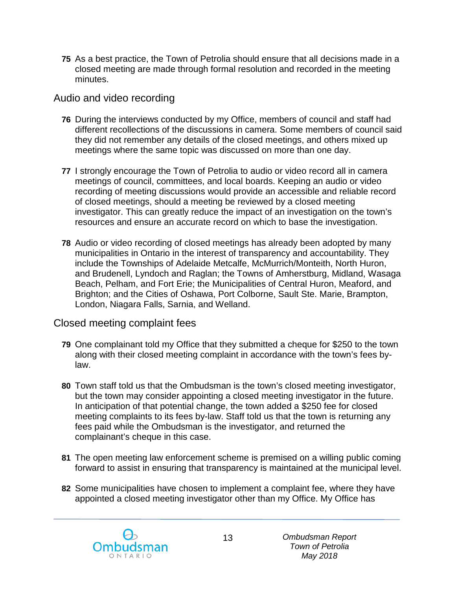**75** As a best practice, the Town of Petrolia should ensure that all decisions made in a closed meeting are made through formal resolution and recorded in the meeting minutes.

#### Audio and video recording

- **76** During the interviews conducted by my Office, members of council and staff had different recollections of the discussions in camera. Some members of council said they did not remember any details of the closed meetings, and others mixed up meetings where the same topic was discussed on more than one day.
- **77** I strongly encourage the Town of Petrolia to audio or video record all in camera meetings of council, committees, and local boards. Keeping an audio or video recording of meeting discussions would provide an accessible and reliable record of closed meetings, should a meeting be reviewed by a closed meeting investigator. This can greatly reduce the impact of an investigation on the town's resources and ensure an accurate record on which to base the investigation.
- **78** Audio or video recording of closed meetings has already been adopted by many municipalities in Ontario in the interest of transparency and accountability. They include the Townships of Adelaide Metcalfe, McMurrich/Monteith, North Huron, and Brudenell, Lyndoch and Raglan; the Towns of Amherstburg, Midland, Wasaga Beach, Pelham, and Fort Erie; the Municipalities of Central Huron, Meaford, and Brighton; and the Cities of Oshawa, Port Colborne, Sault Ste. Marie, Brampton, London, Niagara Falls, Sarnia, and Welland.

#### Closed meeting complaint fees

- **79** One complainant told my Office that they submitted a cheque for \$250 to the town along with their closed meeting complaint in accordance with the town's fees bylaw.
- **80** Town staff told us that the Ombudsman is the town's closed meeting investigator, but the town may consider appointing a closed meeting investigator in the future. In anticipation of that potential change, the town added a \$250 fee for closed meeting complaints to its fees by-law. Staff told us that the town is returning any fees paid while the Ombudsman is the investigator, and returned the complainant's cheque in this case.
- **81** The open meeting law enforcement scheme is premised on a willing public coming forward to assist in ensuring that transparency is maintained at the municipal level.
- **82** Some municipalities have chosen to implement a complaint fee, where they have appointed a closed meeting investigator other than my Office. My Office has

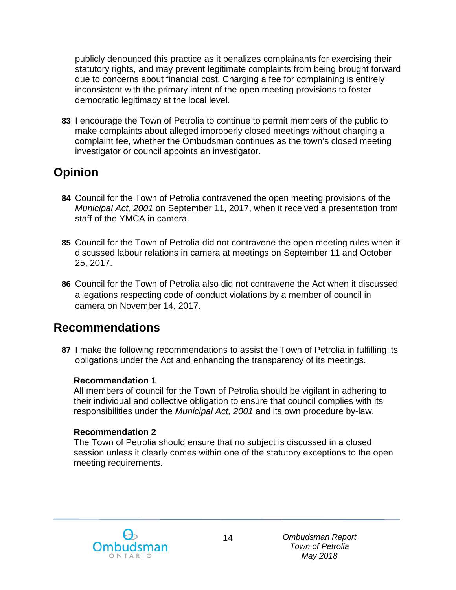publicly denounced this practice as it penalizes complainants for exercising their statutory rights, and may prevent legitimate complaints from being brought forward due to concerns about financial cost. Charging a fee for complaining is entirely inconsistent with the primary intent of the open meeting provisions to foster democratic legitimacy at the local level.

**83** I encourage the Town of Petrolia to continue to permit members of the public to make complaints about alleged improperly closed meetings without charging a complaint fee, whether the Ombudsman continues as the town's closed meeting investigator or council appoints an investigator.

# **Opinion**

- **84** Council for the Town of Petrolia contravened the open meeting provisions of the *Municipal Act, 2001* on September 11, 2017, when it received a presentation from staff of the YMCA in camera.
- **85** Council for the Town of Petrolia did not contravene the open meeting rules when it discussed labour relations in camera at meetings on September 11 and October 25, 2017.
- **86** Council for the Town of Petrolia also did not contravene the Act when it discussed allegations respecting code of conduct violations by a member of council in camera on November 14, 2017.

### **Recommendations**

**87** I make the following recommendations to assist the Town of Petrolia in fulfilling its obligations under the Act and enhancing the transparency of its meetings.

#### **Recommendation 1**

All members of council for the Town of Petrolia should be vigilant in adhering to their individual and collective obligation to ensure that council complies with its responsibilities under the *Municipal Act, 2001* and its own procedure by-law.

#### **Recommendation 2**

The Town of Petrolia should ensure that no subject is discussed in a closed session unless it clearly comes within one of the statutory exceptions to the open meeting requirements.